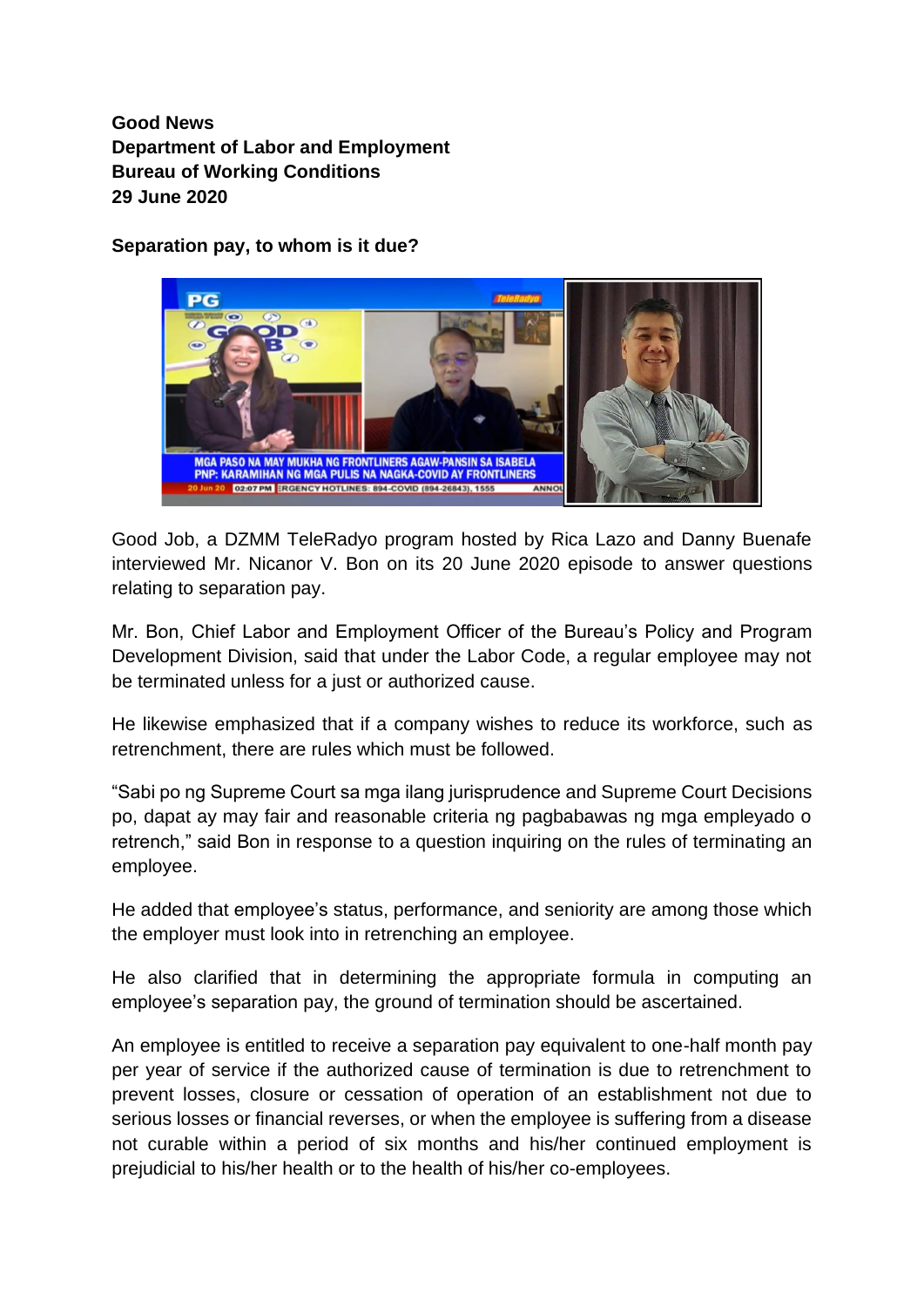**Good News Department of Labor and Employment Bureau of Working Conditions 29 June 2020**

**Separation pay, to whom is it due?**



Good Job, a DZMM TeleRadyo program hosted by Rica Lazo and Danny Buenafe interviewed Mr. Nicanor V. Bon on its 20 June 2020 episode to answer questions relating to separation pay.

Mr. Bon, Chief Labor and Employment Officer of the Bureau's Policy and Program Development Division, said that under the Labor Code, a regular employee may not be terminated unless for a just or authorized cause.

He likewise emphasized that if a company wishes to reduce its workforce, such as retrenchment, there are rules which must be followed.

"Sabi po ng Supreme Court sa mga ilang jurisprudence and Supreme Court Decisions po, dapat ay may fair and reasonable criteria ng pagbabawas ng mga empleyado o retrench," said Bon in response to a question inquiring on the rules of terminating an employee.

He added that employee's status, performance, and seniority are among those which the employer must look into in retrenching an employee.

He also clarified that in determining the appropriate formula in computing an employee's separation pay, the ground of termination should be ascertained.

An employee is entitled to receive a separation pay equivalent to one-half month pay per year of service if the authorized cause of termination is due to retrenchment to prevent losses, closure or cessation of operation of an establishment not due to serious losses or financial reverses, or when the employee is suffering from a disease not curable within a period of six months and his/her continued employment is prejudicial to his/her health or to the health of his/her co-employees.